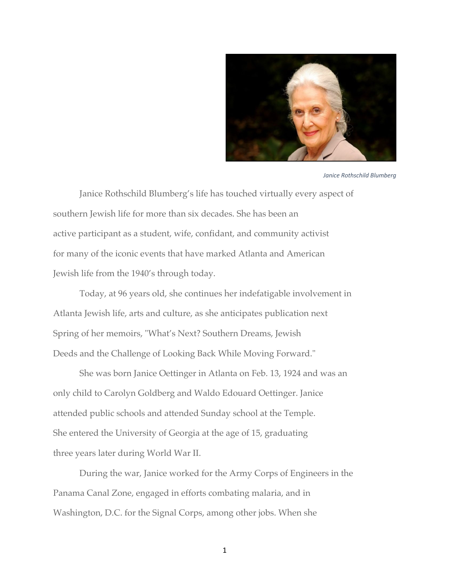

*Janice Rothschild Blumberg*

Janice Rothschild Blumberg's life has touched virtually every aspect of southern Jewish life for more than six decades. She has been an active participant as a student, wife, confidant, and community activist for many of the iconic events that have marked Atlanta and American Jewish life from the 1940's through today.

Today, at 96 years old, she continues her indefatigable involvement in Atlanta Jewish life, arts and culture, as she anticipates publication next Spring of her memoirs, "What's Next? Southern Dreams, Jewish Deeds and the Challenge of Looking Back While Moving Forward."

She was born Janice Oettinger in Atlanta on Feb. 13, 1924 and was an only child to Carolyn Goldberg and Waldo Edouard Oettinger. Janice attended public schools and attended Sunday school at the Temple. She entered the University of Georgia at the age of 15, graduating three years later during World War II.

During the war, Janice worked for the Army Corps of Engineers in the Panama Canal Zone, engaged in efforts combating malaria, and in Washington, D.C. for the Signal Corps, among other jobs. When she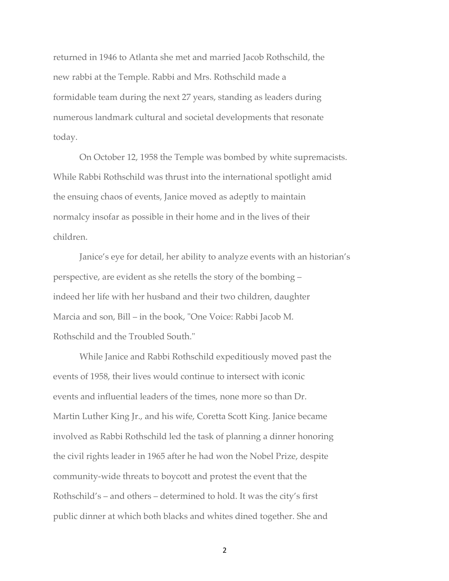returned in 1946 to Atlanta she met and married Jacob Rothschild, the new rabbi at the Temple. Rabbi and Mrs. Rothschild made a formidable team during the next 27 years, standing as leaders during numerous landmark cultural and societal developments that resonate today.

On October 12, 1958 the Temple was bombed by white supremacists. While Rabbi Rothschild was thrust into the international spotlight amid the ensuing chaos of events, Janice moved as adeptly to maintain normalcy insofar as possible in their home and in the lives of their children.

Janice's eye for detail, her ability to analyze events with an historian's perspective, are evident as she retells the story of the bombing – indeed her life with her husband and their two children, daughter Marcia and son, Bill – in the book, "One Voice: Rabbi Jacob M. Rothschild and the Troubled South."

While Janice and Rabbi Rothschild expeditiously moved past the events of 1958, their lives would continue to intersect with iconic events and influential leaders of the times, none more so than Dr. Martin Luther King Jr., and his wife, Coretta Scott King. Janice became involved as Rabbi Rothschild led the task of planning a dinner honoring the civil rights leader in 1965 after he had won the Nobel Prize, despite community-wide threats to boycott and protest the event that the Rothschild's – and others – determined to hold. It was the city's first public dinner at which both blacks and whites dined together. She and

2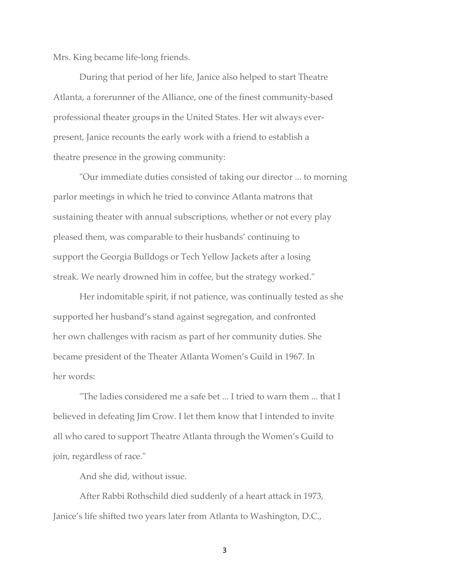Mrs. King became life-long friends.

During that period of her life, Janice also helped to start Theatre Atlanta, a forerunner of the Alliance, one of the finest community-based professional theater groups in the United States. Her wit always everpresent, Janice recounts the early work with a friend to establish a theatre presence in the growing community:

"Our immediate duties consisted of taking our director ... to morning parlor meetings in which he tried to convince Atlanta matrons that sustaining theater with annual subscriptions, whether or not every play pleased them, was comparable to their husbands' continuing to support the Georgia Bulldogs or Tech Yellow Jackets after a losing streak. We nearly drowned him in coffee, but the strategy worked."

Her indomitable spirit, if not patience, was continually tested as she supported her husband's stand against segregation, and confronted her own challenges with racism as part of her community duties. She became president of the Theater Atlanta Women's Guild in 1967. In her words:

"The ladies considered me a safe bet ... I tried to warn them ... that I believed in defeating Jim Crow. I let them know that I intended to invite all who cared to support Theatre Atlanta through the Women's Guild to join, regardless of race."

And she did, without issue.

After Rabbi Rothschild died suddenly of a heart attack in 1973, Janice's life shifted two years later from Atlanta to Washington, D.C.,

3